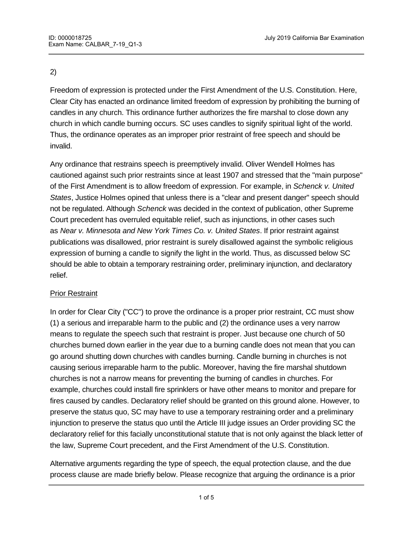## 2)

Freedom of expression is protected under the First Amendment of the U.S. Constitution. Here, Clear City has enacted an ordinance limited freedom of expression by prohibiting the burning of candles in any church. This ordinance further authorizes the fire marshal to close down any church in which candle burning occurs. SC uses candles to signify spiritual light of the world. Thus, the ordinance operates as an improper prior restraint of free speech and should be invalid.

Any ordinance that restrains speech is preemptively invalid. Oliver Wendell Holmes has cautioned against such prior restraints since at least 1907 and stressed that the "main purpose" of the First Amendment is to allow freedom of expression. For example, in *Schenck v. United States*, Justice Holmes opined that unless there is a "clear and present danger" speech should not be regulated. Although *Schenck* was decided in the context of publication, other Supreme Court precedent has overruled equitable relief, such as injunctions, in other cases such as *Near v. Minnesota and New York Times Co. v. United States*. If prior restraint against publications was disallowed, prior restraint is surely disallowed against the symbolic religious expression of burning a candle to signify the light in the world. Thus, as discussed below SC should be able to obtain a temporary restraining order, preliminary injunction, and declaratory relief.

## Prior Restraint

In order for Clear City ("CC") to prove the ordinance is a proper prior restraint, CC must show (1) a serious and irreparable harm to the public and (2) the ordinance uses a very narrow means to regulate the speech such that restraint is proper. Just because one church of 50 churches burned down earlier in the year due to a burning candle does not mean that you can go around shutting down churches with candles burning. Candle burning in churches is not causing serious irreparable harm to the public. Moreover, having the fire marshal shutdown churches is not a narrow means for preventing the burning of candles in churches. For example, churches could install fire sprinklers or have other means to monitor and prepare for fires caused by candles. Declaratory relief should be granted on this ground alone. However, to preserve the status quo, SC may have to use a temporary restraining order and a preliminary injunction to preserve the status quo until the Article III judge issues an Order providing SC the declaratory relief for this facially unconstitutional statute that is not only against the black letter of the law, Supreme Court precedent, and the First Amendment of the U.S. Constitution.

Alternative arguments regarding the type of speech, the equal protection clause, and the due process clause are made briefly below. Please recognize that arguing the ordinance is a prior

restraint is the tact that should be taken by SC in this case.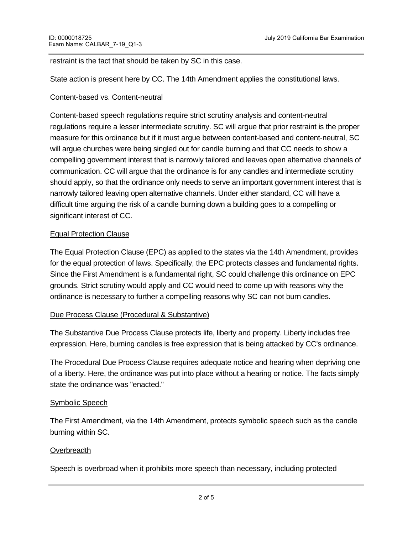restraint is the tact that should be taken by SC in this case.

State action is present here by CC. The 14th Amendment applies the constitutional laws.

#### Content-based vs. Content-neutral

Content-based speech regulations require strict scrutiny analysis and content-neutral regulations require a lesser intermediate scrutiny. SC will argue that prior restraint is the proper measure for this ordinance but if it must argue between content-based and content-neutral, SC will argue churches were being singled out for candle burning and that CC needs to show a compelling government interest that is narrowly tailored and leaves open alternative channels of communication. CC will argue that the ordinance is for any candles and intermediate scrutiny should apply, so that the ordinance only needs to serve an important government interest that is narrowly tailored leaving open alternative channels. Under either standard, CC will have a difficult time arguing the risk of a candle burning down a building goes to a compelling or significant interest of CC.

#### Equal Protection Clause

The Equal Protection Clause (EPC) as applied to the states via the 14th Amendment, provides for the equal protection of laws. Specifically, the EPC protects classes and fundamental rights. Since the First Amendment is a fundamental right, SC could challenge this ordinance on EPC grounds. Strict scrutiny would apply and CC would need to come up with reasons why the ordinance is necessary to further a compelling reasons why SC can not burn candles.

## Due Process Clause (Procedural & Substantive)

The Substantive Due Process Clause protects life, liberty and property. Liberty includes free expression. Here, burning candles is free expression that is being attacked by CC's ordinance.

The Procedural Due Process Clause requires adequate notice and hearing when depriving one of a liberty. Here, the ordinance was put into place without a hearing or notice. The facts simply state the ordinance was "enacted."

#### Symbolic Speech

The First Amendment, via the 14th Amendment, protects symbolic speech such as the candle burning within SC.

## **Overbreadth**

Speech is overbroad when it prohibits more speech than necessary, including protected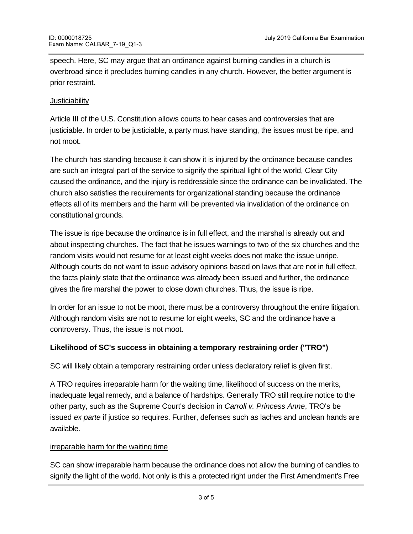speech. Here, SC may argue that an ordinance against burning candles in a church is overbroad since it precludes burning candles in any church. However, the better argument is prior restraint.

#### **Justiciability**

Article III of the U.S. Constitution allows courts to hear cases and controversies that are justiciable. In order to be justiciable, a party must have standing, the issues must be ripe, and not moot.

The church has standing because it can show it is injured by the ordinance because candles are such an integral part of the service to signify the spiritual light of the world, Clear City caused the ordinance, and the injury is reddressible since the ordinance can be invalidated. The church also satisfies the requirements for organizational standing because the ordinance effects all of its members and the harm will be prevented via invalidation of the ordinance on constitutional grounds.

The issue is ripe because the ordinance is in full effect, and the marshal is already out and about inspecting churches. The fact that he issues warnings to two of the six churches and the random visits would not resume for at least eight weeks does not make the issue unripe. Although courts do not want to issue advisory opinions based on laws that are not in full effect, the facts plainly state that the ordinance was already been issued and further, the ordinance gives the fire marshal the power to close down churches. Thus, the issue is ripe.

In order for an issue to not be moot, there must be a controversy throughout the entire litigation. Although random visits are not to resume for eight weeks, SC and the ordinance have a controversy. Thus, the issue is not moot.

#### **Likelihood of SC's success in obtaining a temporary restraining order ("TRO")**

SC will likely obtain a temporary restraining order unless declaratory relief is given first.

A TRO requires irreparable harm for the waiting time, likelihood of success on the merits, inadequate legal remedy, and a balance of hardships. Generally TRO still require notice to the other party, such as the Supreme Court's decision in *Carroll v. Princess Anne*, TRO's be issued *ex parte* if justice so requires. Further, defenses such as laches and unclean hands are available.

#### irreparable harm for the waiting time

SC can show irreparable harm because the ordinance does not allow the burning of candles to signify the light of the world. Not only is this a protected right under the First Amendment's Free

Exercise clause, the ordinance is arguably in violation of the Establishment clause. Under the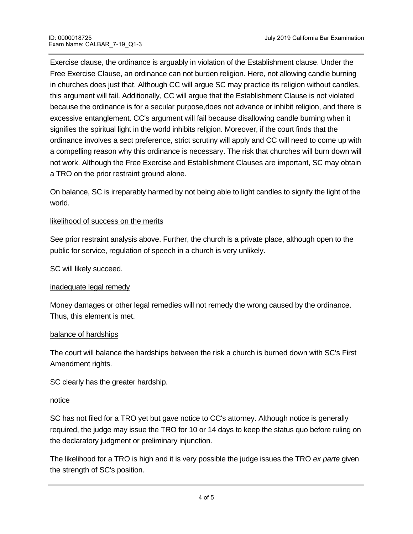Exercise clause, the ordinance is arguably in violation of the Establishment clause. Under the Free Exercise Clause, an ordinance can not burden religion. Here, not allowing candle burning in churches does just that. Although CC will argue SC may practice its religion without candles, this argument will fail. Additionally, CC will argue that the Establishment Clause is not violated because the ordinance is for a secular purpose,does not advance or inhibit religion, and there is excessive entanglement. CC's argument will fail because disallowing candle burning when it signifies the spiritual light in the world inhibits religion. Moreover, if the court finds that the ordinance involves a sect preference, strict scrutiny will apply and CC will need to come up with a compelling reason why this ordinance is necessary. The risk that churches will burn down will not work. Although the Free Exercise and Establishment Clauses are important, SC may obtain a TRO on the prior restraint ground alone.

On balance, SC is irreparably harmed by not being able to light candles to signify the light of the world.

## likelihood of success on the merits

See prior restraint analysis above. Further, the church is a private place, although open to the public for service, regulation of speech in a church is very unlikely.

SC will likely succeed.

#### inadequate legal remedy

Money damages or other legal remedies will not remedy the wrong caused by the ordinance. Thus, this element is met.

#### balance of hardships

The court will balance the hardships between the risk a church is burned down with SC's First Amendment rights.

SC clearly has the greater hardship.

#### notice

SC has not filed for a TRO yet but gave notice to CC's attorney. Although notice is generally required, the judge may issue the TRO for 10 or 14 days to keep the status quo before ruling on the declaratory judgment or preliminary injunction.

The likelihood for a TRO is high and it is very possible the judge issues the TRO *ex parte* given the strength of SC's position.